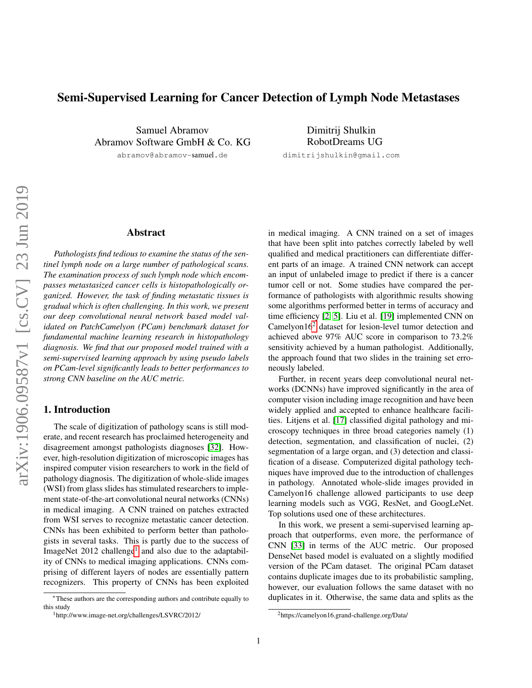# Semi-Supervised Learning for Cancer Detection of Lymph Node Metastases

Samuel Abramov Abramov Software GmbH & Co. KG

abramov@abramov-samuel.de

Dimitrij Shulkin RobotDreams UG dimitrijshulkin@gmail.com

## Abstract

*Pathologists find tedious to examine the status of the sentinel lymph node on a large number of pathological scans. The examination process of such lymph node which encompasses metastasized cancer cells is histopathologically organized. However, the task of finding metastatic tissues is gradual which is often challenging. In this work, we present our deep convolutional neural network based model validated on PatchCamelyon (PCam) benchmark dataset for fundamental machine learning research in histopathology diagnosis. We find that our proposed model trained with a semi-supervised learning approach by using pseudo labels on PCam-level significantly leads to better performances to strong CNN baseline on the AUC metric.*

# 1. Introduction

The scale of digitization of pathology scans is still moderate, and recent research has proclaimed heterogeneity and disagreement amongst pathologists diagnoses [\[32\]](#page-7-0). However, high-resolution digitization of microscopic images has inspired computer vision researchers to work in the field of pathology diagnosis. The digitization of whole-slide images (WSI) from glass slides has stimulated researchers to implement state-of-the-art convolutional neural networks (CNNs) in medical imaging. A CNN trained on patches extracted from WSI serves to recognize metastatic cancer detection. CNNs has been exhibited to perform better than pathologists in several tasks. This is partly due to the success of ImageNet 20[1](#page-0-0)2 challenge<sup>1</sup> and also due to the adaptability of CNNs to medical imaging applications. CNNs comprising of different layers of nodes are essentially pattern recognizers. This property of CNNs has been exploited

in medical imaging. A CNN trained on a set of images that have been split into patches correctly labeled by well qualified and medical practitioners can differentiate different parts of an image. A trained CNN network can accept an input of unlabeled image to predict if there is a cancer tumor cell or not. Some studies have compared the performance of pathologists with algorithmic results showing some algorithms performed better in terms of accuracy and time efficiency [\[2,](#page-6-0) [5\]](#page-6-1). Liu et al. [\[19\]](#page-6-2) implemented CNN on Camelyon $16<sup>2</sup>$  $16<sup>2</sup>$  $16<sup>2</sup>$  dataset for lesion-level tumor detection and achieved above 97% AUC score in comparison to 73.2% sensitivity achieved by a human pathologist. Additionally, the approach found that two slides in the training set erroneously labeled.

Further, in recent years deep convolutional neural networks (DCNNs) have improved significantly in the area of computer vision including image recognition and have been widely applied and accepted to enhance healthcare facilities. Litjens et al. [\[17\]](#page-6-3) classified digital pathology and microscopy techniques in three broad categories namely (1) detection, segmentation, and classification of nuclei, (2) segmentation of a large organ, and (3) detection and classification of a disease. Computerized digital pathology techniques have improved due to the introduction of challenges in pathology. Annotated whole-slide images provided in Camelyon16 challenge allowed participants to use deep learning models such as VGG, ResNet, and GoogLeNet. Top solutions used one of these architectures.

In this work, we present a semi-supervised learning approach that outperforms, even more, the performance of CNN [\[33\]](#page-7-1) in terms of the AUC metric. Our proposed DenseNet based model is evaluated on a slightly modified version of the PCam dataset. The original PCam dataset contains duplicate images due to its probabilistic sampling, however, our evaluation follows the same dataset with no duplicates in it. Otherwise, the same data and splits as the

<sup>∗</sup>These authors are the corresponding authors and contribute equally to this study

<span id="page-0-0"></span><sup>1</sup>http://www.image-net.org/challenges/LSVRC/2012/

<span id="page-0-1"></span><sup>2</sup>https://camelyon16.grand-challenge.org/Data/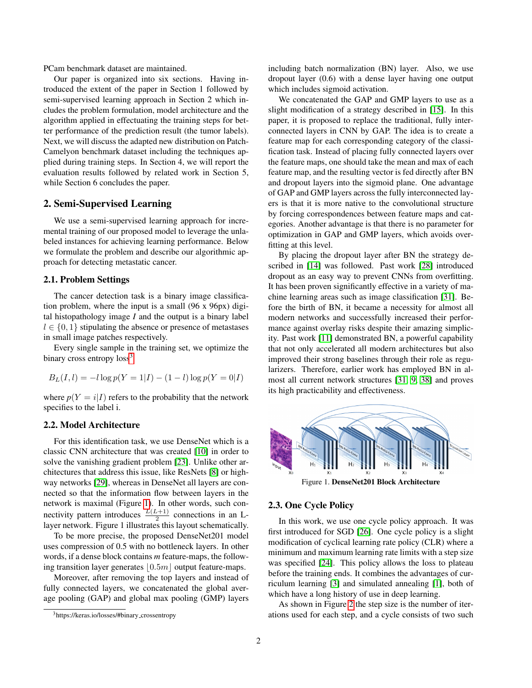PCam benchmark dataset are maintained.

Our paper is organized into six sections. Having introduced the extent of the paper in Section 1 followed by semi-supervised learning approach in Section 2 which includes the problem formulation, model architecture and the algorithm applied in effectuating the training steps for better performance of the prediction result (the tumor labels). Next, we will discuss the adapted new distribution on Patch-Camelyon benchmark dataset including the techniques applied during training steps. In Section 4, we will report the evaluation results followed by related work in Section 5, while Section 6 concludes the paper.

## 2. Semi-Supervised Learning

We use a semi-supervised learning approach for incremental training of our proposed model to leverage the unlabeled instances for achieving learning performance. Below we formulate the problem and describe our algorithmic approach for detecting metastatic cancer.

## 2.1. Problem Settings

The cancer detection task is a binary image classification problem, where the input is a small (96 x 96px) digital histopathology image *I* and the output is a binary label  $l \in \{0, 1\}$  stipulating the absence or presence of metastases in small image patches respectively.

Every single sample in the training set, we optimize the binary cross entropy  $loss<sup>3</sup>$  $loss<sup>3</sup>$  $loss<sup>3</sup>$ 

$$
B_L(I, l) = -l \log p(Y = 1 | I) - (1 - l) \log p(Y = 0 | I)
$$

where  $p(Y = i|I)$  refers to the probability that the network specifies to the label i.

## 2.2. Model Architecture

For this identification task, we use DenseNet which is a classic CNN architecture that was created [\[10\]](#page-6-4) in order to solve the vanishing gradient problem [\[23\]](#page-6-5). Unlike other architectures that address this issue, like ResNets [\[8\]](#page-6-6) or highway networks [\[29\]](#page-7-2), whereas in DenseNet all layers are connected so that the information flow between layers in the network is maximal (Figure [1\)](#page-1-1). In other words, such connectivity pattern introduces  $\frac{L(L+1)}{2}$  connections in an Llayer network. Figure 1 illustrates this layout schematically.

To be more precise, the proposed DenseNet201 model uses compression of 0.5 with no bottleneck layers. In other words, if a dense block contains *m* feature-maps, the following transition layer generates  $\vert 0.5m \vert$  output feature-maps.

Moreover, after removing the top layers and instead of fully connected layers, we concatenated the global average pooling (GAP) and global max pooling (GMP) layers

including batch normalization (BN) layer. Also, we use dropout layer (0.6) with a dense layer having one output which includes sigmoid activation.

We concatenated the GAP and GMP layers to use as a slight modification of a strategy described in [\[15\]](#page-6-7). In this paper, it is proposed to replace the traditional, fully interconnected layers in CNN by GAP. The idea is to create a feature map for each corresponding category of the classification task. Instead of placing fully connected layers over the feature maps, one should take the mean and max of each feature map, and the resulting vector is fed directly after BN and dropout layers into the sigmoid plane. One advantage of GAP and GMP layers across the fully interconnected layers is that it is more native to the convolutional structure by forcing correspondences between feature maps and categories. Another advantage is that there is no parameter for optimization in GAP and GMP layers, which avoids overfitting at this level.

By placing the dropout layer after BN the strategy described in [\[14\]](#page-6-8) was followed. Past work [\[28\]](#page-7-3) introduced dropout as an easy way to prevent CNNs from overfitting. It has been proven significantly effective in a variety of machine learning areas such as image classification [\[31\]](#page-7-4). Before the birth of BN, it became a necessity for almost all modern networks and successfully increased their performance against overlay risks despite their amazing simplicity. Past work [\[11\]](#page-6-9) demonstrated BN, a powerful capability that not only accelerated all modern architectures but also improved their strong baselines through their role as regularizers. Therefore, earlier work has employed BN in almost all current network structures [\[31,](#page-7-4) [9,](#page-6-10) [38\]](#page-7-5) and proves its high practicability and effectiveness.



<span id="page-1-1"></span>Figure 1. DenseNet201 Block Architecture

# 2.3. One Cycle Policy

In this work, we use one cycle policy approach. It was first introduced for SGD [\[26\]](#page-7-6). One cycle policy is a slight modification of cyclical learning rate policy (CLR) where a minimum and maximum learning rate limits with a step size was specified [\[24\]](#page-6-11). This policy allows the loss to plateau before the training ends. It combines the advantages of curriculum learning [\[3\]](#page-6-12) and simulated annealing [\[1\]](#page-6-13), both of which have a long history of use in deep learning.

As shown in Figure [2](#page-2-0) the step size is the number of iterations used for each step, and a cycle consists of two such

<span id="page-1-0"></span><sup>&</sup>lt;sup>3</sup>https://keras.io/losses/#binary\_crossentropy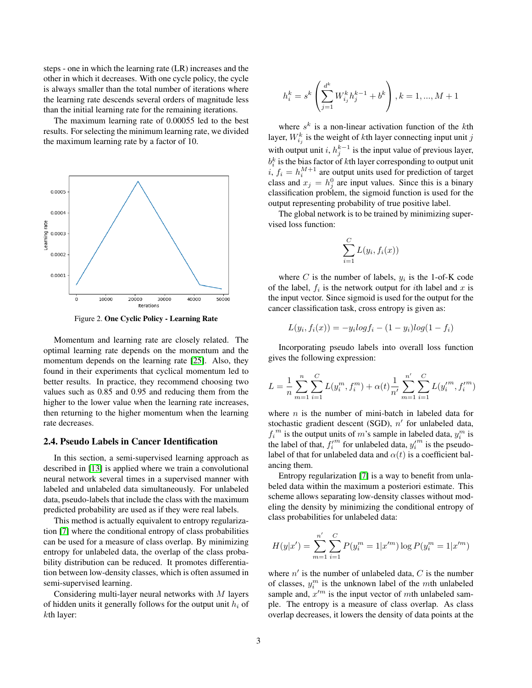steps - one in which the learning rate (LR) increases and the other in which it decreases. With one cycle policy, the cycle is always smaller than the total number of iterations where the learning rate descends several orders of magnitude less than the initial learning rate for the remaining iterations.

The maximum learning rate of 0.00055 led to the best results. For selecting the minimum learning rate, we divided the maximum learning rate by a factor of 10.



<span id="page-2-0"></span>Figure 2. One Cyclic Policy - Learning Rate

Momentum and learning rate are closely related. The optimal learning rate depends on the momentum and the momentum depends on the learning rate [\[25\]](#page-6-14). Also, they found in their experiments that cyclical momentum led to better results. In practice, they recommend choosing two values such as 0.85 and 0.95 and reducing them from the higher to the lower value when the learning rate increases, then returning to the higher momentum when the learning rate decreases.

#### 2.4. Pseudo Labels in Cancer Identification

In this section, a semi-supervised learning approach as described in [\[13\]](#page-6-15) is applied where we train a convolutional neural network several times in a supervised manner with labeled and unlabeled data simultaneously. For unlabeled data, pseudo-labels that include the class with the maximum predicted probability are used as if they were real labels.

This method is actually equivalent to entropy regularization [\[7\]](#page-6-16) where the conditional entropy of class probabilities can be used for a measure of class overlap. By minimizing entropy for unlabeled data, the overlap of the class probability distribution can be reduced. It promotes differentiation between low-density classes, which is often assumed in semi-supervised learning.

Considering multi-layer neural networks with M layers of hidden units it generally follows for the output unit  $h_i$  of kth layer:

$$
h_i^k = s^k \left( \sum_{j=1}^{d^k} W_{i_j}^k h_j^{k-1} + b^k \right), k = 1, ..., M+1
$$

where  $s^k$  is a non-linear activation function of the kth layer,  $W_{i_j}^k$  is the weight of  $k$ th layer connecting input unit  $j$ with output unit i,  $h_j^{k-1}$  is the input value of previous layer,  $b_i^k$  is the bias factor of kth layer corresponding to output unit i,  $f_i = h_i^{M+1}$  are output units used for prediction of target class and  $x_j = h_j^0$  are input values. Since this is a binary classification problem, the sigmoid function is used for the output representing probability of true positive label.

The global network is to be trained by minimizing supervised loss function:

$$
\sum_{i=1}^{C} L(y_i, f_i(x))
$$

where C is the number of labels,  $y_i$  is the 1-of-K code of the label,  $f_i$  is the network output for *i*th label and x is the input vector. Since sigmoid is used for the output for the cancer classification task, cross entropy is given as:

$$
L(y_i, f_i(x)) = -y_i log f_i - (1 - y_i) log (1 - f_i)
$$

Incorporating pseudo labels into overall loss function gives the following expression:

$$
L = \frac{1}{n} \sum_{m=1}^{n} \sum_{i=1}^{C} L(y_i^m, f_i^m) + \alpha(t) \frac{1}{n'} \sum_{m=1}^{n'} \sum_{i=1}^{C} L(y_i'^m, f_i'^m)
$$

where  $n$  is the number of mini-batch in labeled data for stochastic gradient descent (SGD),  $n'$  for unlabeled data,  $f_i^m$  is the output units of m's sample in labeled data,  $y_i^m$  is the label of that,  $f_i^{\prime m}$  for unlabeled data,  $y_i^{\prime m}$  is the pseudolabel of that for unlabeled data and  $\alpha(t)$  is a coefficient balancing them.

Entropy regularization [\[7\]](#page-6-16) is a way to benefit from unlabeled data within the maximum a posteriori estimate. This scheme allows separating low-density classes without modeling the density by minimizing the conditional entropy of class probabilities for unlabeled data:

$$
H(y|x') = \sum_{m=1}^{n'} \sum_{i=1}^{C} P(y_i^m = 1|x'^m) \log P(y_i^m = 1|x'^m)
$$

where  $n'$  is the number of unlabeled data,  $C$  is the number of classes,  $y_i^m$  is the unknown label of the *mth* unlabeled sample and,  $x^{\prime m}$  is the input vector of mth unlabeled sample. The entropy is a measure of class overlap. As class overlap decreases, it lowers the density of data points at the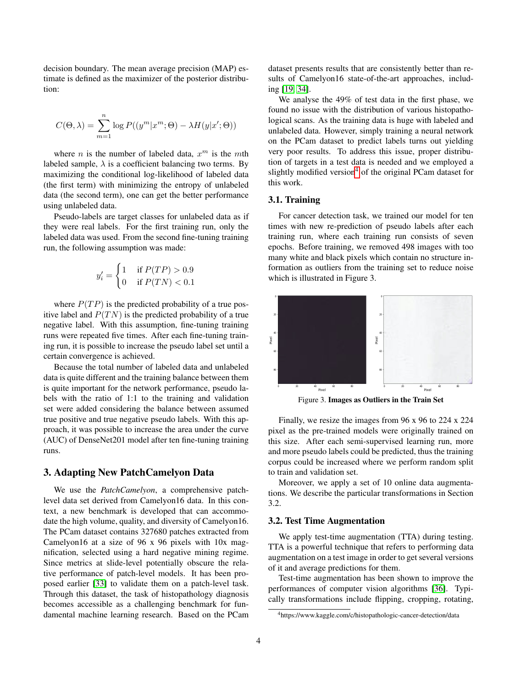decision boundary. The mean average precision (MAP) estimate is defined as the maximizer of the posterior distribution:

$$
C(\Theta, \lambda) = \sum_{m=1}^{n} \log P((y^{m}|x^{m}; \Theta) - \lambda H(y|x'; \Theta))
$$

where *n* is the number of labeled data,  $x^m$  is the *mth* labeled sample,  $\lambda$  is a coefficient balancing two terms. By maximizing the conditional log-likelihood of labeled data (the first term) with minimizing the entropy of unlabeled data (the second term), one can get the better performance using unlabeled data.

Pseudo-labels are target classes for unlabeled data as if they were real labels. For the first training run, only the labeled data was used. From the second fine-tuning training run, the following assumption was made:

$$
y_i' = \begin{cases} 1 & \text{if } P(TP) > 0.9 \\ 0 & \text{if } P(TN) < 0.1 \end{cases}
$$

where  $P(TP)$  is the predicted probability of a true positive label and  $P(T N)$  is the predicted probability of a true negative label. With this assumption, fine-tuning training runs were repeated five times. After each fine-tuning training run, it is possible to increase the pseudo label set until a certain convergence is achieved.

Because the total number of labeled data and unlabeled data is quite different and the training balance between them is quite important for the network performance, pseudo labels with the ratio of 1:1 to the training and validation set were added considering the balance between assumed true positive and true negative pseudo labels. With this approach, it was possible to increase the area under the curve (AUC) of DenseNet201 model after ten fine-tuning training runs.

# 3. Adapting New PatchCamelyon Data

We use the *PatchCamelyon*, a comprehensive patchlevel data set derived from Camelyon16 data. In this context, a new benchmark is developed that can accommodate the high volume, quality, and diversity of Camelyon16. The PCam dataset contains 327680 patches extracted from Camelyon16 at a size of 96 x 96 pixels with 10x magnification, selected using a hard negative mining regime. Since metrics at slide-level potentially obscure the relative performance of patch-level models. It has been proposed earlier [\[33\]](#page-7-1) to validate them on a patch-level task. Through this dataset, the task of histopathology diagnosis becomes accessible as a challenging benchmark for fundamental machine learning research. Based on the PCam dataset presents results that are consistently better than results of Camelyon16 state-of-the-art approaches, including [\[19,](#page-6-2) [34\]](#page-7-7).

We analyse the 49% of test data in the first phase, we found no issue with the distribution of various histopathological scans. As the training data is huge with labeled and unlabeled data. However, simply training a neural network on the PCam dataset to predict labels turns out yielding very poor results. To address this issue, proper distribution of targets in a test data is needed and we employed a slightly modified version $4$  of the original PCam dataset for this work.

## 3.1. Training

For cancer detection task, we trained our model for ten times with new re-prediction of pseudo labels after each training run, where each training run consists of seven epochs. Before training, we removed 498 images with too many white and black pixels which contain no structure information as outliers from the training set to reduce noise which is illustrated in Figure 3.



Figure 3. Images as Outliers in the Train Set

Finally, we resize the images from 96 x 96 to 224 x 224 pixel as the pre-trained models were originally trained on this size. After each semi-supervised learning run, more and more pseudo labels could be predicted, thus the training corpus could be increased where we perform random split to train and validation set.

Moreover, we apply a set of 10 online data augmentations. We describe the particular transformations in Section 3.2.

# 3.2. Test Time Augmentation

We apply test-time augmentation (TTA) during testing. TTA is a powerful technique that refers to performing data augmentation on a test image in order to get several versions of it and average predictions for them.

Test-time augmentation has been shown to improve the performances of computer vision algorithms [\[36\]](#page-7-8). Typically transformations include flipping, cropping, rotating,

<span id="page-3-0"></span><sup>4</sup>https://www.kaggle.com/c/histopathologic-cancer-detection/data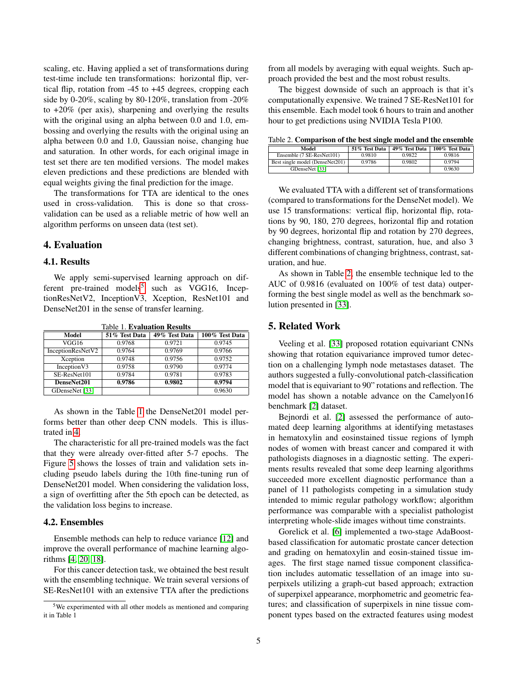scaling, etc. Having applied a set of transformations during test-time include ten transformations: horizontal flip, vertical flip, rotation from -45 to +45 degrees, cropping each side by 0-20%, scaling by 80-120%, translation from -20% to +20% (per axis), sharpening and overlying the results with the original using an alpha between 0.0 and 1.0, embossing and overlying the results with the original using an alpha between 0.0 and 1.0, Gaussian noise, changing hue and saturation. In other words, for each original image in test set there are ten modified versions. The model makes eleven predictions and these predictions are blended with equal weights giving the final prediction for the image.

The transformations for TTA are identical to the ones used in cross-validation. This is done so that crossvalidation can be used as a reliable metric of how well an algorithm performs on unseen data (test set).

# 4. Evaluation

## 4.1. Results

We apply semi-supervised learning approach on dif-ferent pre-trained models<sup>[5](#page-4-0)</sup> such as VGG16, InceptionResNetV2, InceptionV3, Xception, ResNet101 and DenseNet201 in the sense of transfer learning.

| Model             | 51% Test Data | 49% Test Data | 100% Test Data |  |  |
|-------------------|---------------|---------------|----------------|--|--|
| VGG16             | 0.9768        | 0.9721        | 0.9745         |  |  |
| InceptionResNetV2 | 0.9764        | 0.9769        | 0.9766         |  |  |
| Xception          | 0.9748        | 0.9756        | 0.9752         |  |  |
| Inception V3      | 0.9758        | 0.9790        | 0.9774         |  |  |
| SE-ResNet101      | 0.9784        | 0.9781        | 0.9783         |  |  |
| DenseNet201       | 0.9786        | 0.9802        | 0.9794         |  |  |
| GDenseNet [33]    |               |               | 0.9630         |  |  |

<span id="page-4-1"></span>Table 1. Evaluation Results

As shown in the Table [1](#page-4-1) the DenseNet201 model performs better than other deep CNN models. This is illustrated in [4.](#page-5-0)

The characteristic for all pre-trained models was the fact that they were already over-fitted after 5-7 epochs. The Figure [5](#page-5-1) shows the losses of train and validation sets including pseudo labels during the 10th fine-tuning run of DenseNet201 model. When considering the validation loss, a sign of overfitting after the 5th epoch can be detected, as the validation loss begins to increase.

## 4.2. Ensembles

Ensemble methods can help to reduce variance [\[12\]](#page-6-17) and improve the overall performance of machine learning algorithms [\[4,](#page-6-18) [20,](#page-6-19) [18\]](#page-6-20).

For this cancer detection task, we obtained the best result with the ensembling technique. We train several versions of SE-ResNet101 with an extensive TTA after the predictions

from all models by averaging with equal weights. Such approach provided the best and the most robust results.

The biggest downside of such an approach is that it's computationally expensive. We trained 7 SE-ResNet101 for this ensemble. Each model took 6 hours to train and another hour to get predictions using NVIDIA Tesla P100.

<span id="page-4-2"></span>Table 2. Comparison of the best single model and the ensemble

| Model                           | 51% Test Data | 49% Test Data | 100% Test Data |
|---------------------------------|---------------|---------------|----------------|
| Ensemble (7 SE-ResNet101)       | 0.9810        | 0.9822        | 0.9816         |
| Best single model (DenseNet201) | 0.9786        | 0.9802        | 0.9794         |
| GDenseNet [33]                  |               |               | 0.9630         |

We evaluated TTA with a different set of transformations (compared to transformations for the DenseNet model). We use 15 transformations: vertical flip, horizontal flip, rotations by 90, 180, 270 degrees, horizontal flip and rotation by 90 degrees, horizontal flip and rotation by 270 degrees, changing brightness, contrast, saturation, hue, and also 3 different combinations of changing brightness, contrast, saturation, and hue.

As shown in Table [2,](#page-4-2) the ensemble technique led to the AUC of 0.9816 (evaluated on 100% of test data) outperforming the best single model as well as the benchmark solution presented in [\[33\]](#page-7-1).

## 5. Related Work

Veeling et al. [\[33\]](#page-7-1) proposed rotation equivariant CNNs showing that rotation equivariance improved tumor detection on a challenging lymph node metastases dataset. The authors suggested a fully-convolutional patch-classification model that is equivariant to 90" rotations and reflection. The model has shown a notable advance on the Camelyon16 benchmark [\[2\]](#page-6-0) dataset.

Bejnordi et al. [\[2\]](#page-6-0) assessed the performance of automated deep learning algorithms at identifying metastases in hematoxylin and eosinstained tissue regions of lymph nodes of women with breast cancer and compared it with pathologists diagnoses in a diagnostic setting. The experiments results revealed that some deep learning algorithms succeeded more excellent diagnostic performance than a panel of 11 pathologists competing in a simulation study intended to mimic regular pathology workflow; algorithm performance was comparable with a specialist pathologist interpreting whole-slide images without time constraints.

Gorelick et al. [\[6\]](#page-6-21) implemented a two-stage AdaBoostbased classification for automatic prostate cancer detection and grading on hematoxylin and eosin-stained tissue images. The first stage named tissue component classification includes automatic tessellation of an image into superpixels utilizing a graph-cut based approach; extraction of superpixel appearance, morphometric and geometric features; and classification of superpixels in nine tissue component types based on the extracted features using modest

<span id="page-4-0"></span><sup>5</sup>We experimented with all other models as mentioned and comparing it in Table 1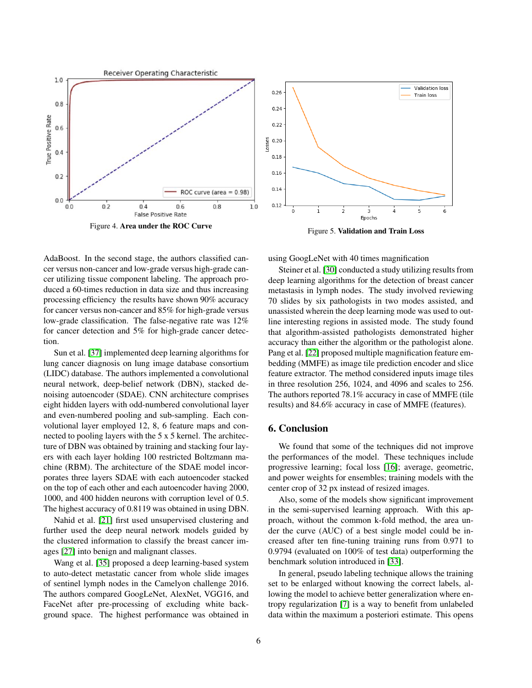



<span id="page-5-0"></span>AdaBoost. In the second stage, the authors classified cancer versus non-cancer and low-grade versus high-grade cancer utilizing tissue component labeling. The approach produced a 60-times reduction in data size and thus increasing processing efficiency the results have shown 90% accuracy for cancer versus non-cancer and 85% for high-grade versus low-grade classification. The false-negative rate was 12% for cancer detection and 5% for high-grade cancer detection.

Sun et al. [\[37\]](#page-7-9) implemented deep learning algorithms for lung cancer diagnosis on lung image database consortium (LIDC) database. The authors implemented a convolutional neural network, deep-belief network (DBN), stacked denoising autoencoder (SDAE). CNN architecture comprises eight hidden layers with odd-numbered convolutional layer and even-numbered pooling and sub-sampling. Each convolutional layer employed 12, 8, 6 feature maps and connected to pooling layers with the 5 x 5 kernel. The architecture of DBN was obtained by training and stacking four layers with each layer holding 100 restricted Boltzmann machine (RBM). The architecture of the SDAE model incorporates three layers SDAE with each autoencoder stacked on the top of each other and each autoencoder having 2000, 1000, and 400 hidden neurons with corruption level of 0.5. The highest accuracy of 0.8119 was obtained in using DBN.

Nahid et al. [\[21\]](#page-6-22) first used unsupervised clustering and further used the deep neural network models guided by the clustered information to classify the breast cancer images [\[27\]](#page-7-10) into benign and malignant classes.

Wang et al. [\[35\]](#page-7-11) proposed a deep learning-based system to auto-detect metastatic cancer from whole slide images of sentinel lymph nodes in the Camelyon challenge 2016. The authors compared GoogLeNet, AlexNet, VGG16, and FaceNet after pre-processing of excluding white background space. The highest performance was obtained in <span id="page-5-1"></span>using GoogLeNet with 40 times magnification

Steiner et al. [\[30\]](#page-7-12) conducted a study utilizing results from deep learning algorithms for the detection of breast cancer metastasis in lymph nodes. The study involved reviewing 70 slides by six pathologists in two modes assisted, and unassisted wherein the deep learning mode was used to outline interesting regions in assisted mode. The study found that algorithm-assisted pathologists demonstrated higher accuracy than either the algorithm or the pathologist alone. Pang et al. [\[22\]](#page-6-23) proposed multiple magnification feature embedding (MMFE) as image tile prediction encoder and slice feature extractor. The method considered inputs image tiles in three resolution 256, 1024, and 4096 and scales to 256. The authors reported 78.1% accuracy in case of MMFE (tile results) and 84.6% accuracy in case of MMFE (features).

# 6. Conclusion

We found that some of the techniques did not improve the performances of the model. These techniques include progressive learning; focal loss [\[16\]](#page-6-24); average, geometric, and power weights for ensembles; training models with the center crop of 32 px instead of resized images.

Also, some of the models show significant improvement in the semi-supervised learning approach. With this approach, without the common k-fold method, the area under the curve (AUC) of a best single model could be increased after ten fine-tuning training runs from 0.971 to 0.9794 (evaluated on 100% of test data) outperforming the benchmark solution introduced in [\[33\]](#page-7-1).

In general, pseudo labeling technique allows the training set to be enlarged without knowing the correct labels, allowing the model to achieve better generalization where entropy regularization [\[7\]](#page-6-16) is a way to benefit from unlabeled data within the maximum a posteriori estimate. This opens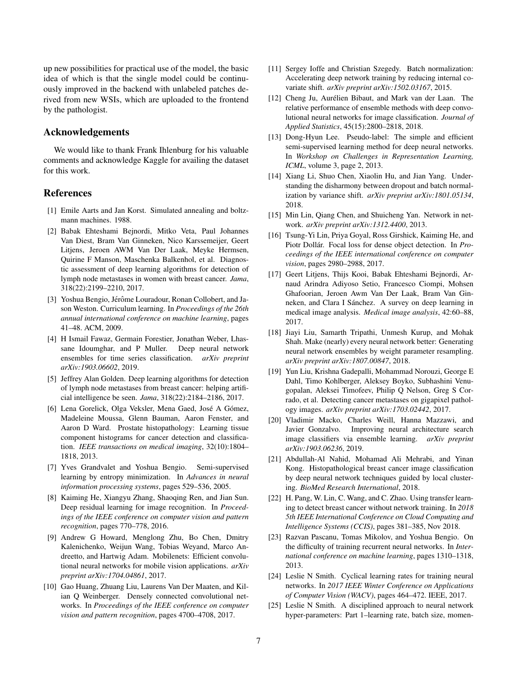up new possibilities for practical use of the model, the basic idea of which is that the single model could be continuously improved in the backend with unlabeled patches derived from new WSIs, which are uploaded to the frontend by the pathologist.

## Acknowledgements

We would like to thank Frank Ihlenburg for his valuable comments and acknowledge Kaggle for availing the dataset for this work.

# References

- <span id="page-6-13"></span>[1] Emile Aarts and Jan Korst. Simulated annealing and boltzmann machines. 1988.
- <span id="page-6-0"></span>[2] Babak Ehteshami Bejnordi, Mitko Veta, Paul Johannes Van Diest, Bram Van Ginneken, Nico Karssemeijer, Geert Litjens, Jeroen AWM Van Der Laak, Meyke Hermsen, Quirine F Manson, Maschenka Balkenhol, et al. Diagnostic assessment of deep learning algorithms for detection of lymph node metastases in women with breast cancer. *Jama*, 318(22):2199–2210, 2017.
- <span id="page-6-12"></span>[3] Yoshua Bengio, Jérôme Louradour, Ronan Collobert, and Jason Weston. Curriculum learning. In *Proceedings of the 26th annual international conference on machine learning*, pages 41–48. ACM, 2009.
- <span id="page-6-18"></span>[4] H Ismail Fawaz, Germain Forestier, Jonathan Weber, Lhassane Idoumghar, and P Muller. Deep neural network ensembles for time series classification. *arXiv preprint arXiv:1903.06602*, 2019.
- <span id="page-6-1"></span>[5] Jeffrey Alan Golden. Deep learning algorithms for detection of lymph node metastases from breast cancer: helping artificial intelligence be seen. *Jama*, 318(22):2184–2186, 2017.
- <span id="page-6-21"></span>[6] Lena Gorelick, Olga Veksler, Mena Gaed, José A Gómez, Madeleine Moussa, Glenn Bauman, Aaron Fenster, and Aaron D Ward. Prostate histopathology: Learning tissue component histograms for cancer detection and classification. *IEEE transactions on medical imaging*, 32(10):1804– 1818, 2013.
- <span id="page-6-16"></span>[7] Yves Grandvalet and Yoshua Bengio. Semi-supervised learning by entropy minimization. In *Advances in neural information processing systems*, pages 529–536, 2005.
- <span id="page-6-6"></span>[8] Kaiming He, Xiangyu Zhang, Shaoqing Ren, and Jian Sun. Deep residual learning for image recognition. In *Proceedings of the IEEE conference on computer vision and pattern recognition*, pages 770–778, 2016.
- <span id="page-6-10"></span>[9] Andrew G Howard, Menglong Zhu, Bo Chen, Dmitry Kalenichenko, Weijun Wang, Tobias Weyand, Marco Andreetto, and Hartwig Adam. Mobilenets: Efficient convolutional neural networks for mobile vision applications. *arXiv preprint arXiv:1704.04861*, 2017.
- <span id="page-6-4"></span>[10] Gao Huang, Zhuang Liu, Laurens Van Der Maaten, and Kilian Q Weinberger. Densely connected convolutional networks. In *Proceedings of the IEEE conference on computer vision and pattern recognition*, pages 4700–4708, 2017.
- <span id="page-6-9"></span>[11] Sergey Ioffe and Christian Szegedy. Batch normalization: Accelerating deep network training by reducing internal covariate shift. *arXiv preprint arXiv:1502.03167*, 2015.
- <span id="page-6-17"></span>[12] Cheng Ju, Aurélien Bibaut, and Mark van der Laan. The relative performance of ensemble methods with deep convolutional neural networks for image classification. *Journal of Applied Statistics*, 45(15):2800–2818, 2018.
- <span id="page-6-15"></span>[13] Dong-Hyun Lee. Pseudo-label: The simple and efficient semi-supervised learning method for deep neural networks. In *Workshop on Challenges in Representation Learning, ICML*, volume 3, page 2, 2013.
- <span id="page-6-8"></span>[14] Xiang Li, Shuo Chen, Xiaolin Hu, and Jian Yang. Understanding the disharmony between dropout and batch normalization by variance shift. *arXiv preprint arXiv:1801.05134*, 2018.
- <span id="page-6-7"></span>[15] Min Lin, Qiang Chen, and Shuicheng Yan. Network in network. *arXiv preprint arXiv:1312.4400*, 2013.
- <span id="page-6-24"></span>[16] Tsung-Yi Lin, Priya Goyal, Ross Girshick, Kaiming He, and Piotr Dollár. Focal loss for dense object detection. In *Proceedings of the IEEE international conference on computer vision*, pages 2980–2988, 2017.
- <span id="page-6-3"></span>[17] Geert Litjens, Thijs Kooi, Babak Ehteshami Bejnordi, Arnaud Arindra Adiyoso Setio, Francesco Ciompi, Mohsen Ghafoorian, Jeroen Awm Van Der Laak, Bram Van Ginneken, and Clara I Sánchez. A survey on deep learning in medical image analysis. *Medical image analysis*, 42:60–88, 2017.
- <span id="page-6-20"></span>[18] Jiayi Liu, Samarth Tripathi, Unmesh Kurup, and Mohak Shah. Make (nearly) every neural network better: Generating neural network ensembles by weight parameter resampling. *arXiv preprint arXiv:1807.00847*, 2018.
- <span id="page-6-2"></span>[19] Yun Liu, Krishna Gadepalli, Mohammad Norouzi, George E Dahl, Timo Kohlberger, Aleksey Boyko, Subhashini Venugopalan, Aleksei Timofeev, Philip Q Nelson, Greg S Corrado, et al. Detecting cancer metastases on gigapixel pathology images. *arXiv preprint arXiv:1703.02442*, 2017.
- <span id="page-6-19"></span>[20] Vladimir Macko, Charles Weill, Hanna Mazzawi, and Javier Gonzalvo. Improving neural architecture search image classifiers via ensemble learning. *arXiv preprint arXiv:1903.06236*, 2019.
- <span id="page-6-22"></span>[21] Abdullah-Al Nahid, Mohamad Ali Mehrabi, and Yinan Kong. Histopathological breast cancer image classification by deep neural network techniques guided by local clustering. *BioMed Research International*, 2018.
- <span id="page-6-23"></span>[22] H. Pang, W. Lin, C. Wang, and C. Zhao. Using transfer learning to detect breast cancer without network training. In *2018 5th IEEE International Conference on Cloud Computing and Intelligence Systems (CCIS)*, pages 381–385, Nov 2018.
- <span id="page-6-5"></span>[23] Razvan Pascanu, Tomas Mikolov, and Yoshua Bengio. On the difficulty of training recurrent neural networks. In *International conference on machine learning*, pages 1310–1318, 2013.
- <span id="page-6-11"></span>[24] Leslie N Smith. Cyclical learning rates for training neural networks. In *2017 IEEE Winter Conference on Applications of Computer Vision (WACV)*, pages 464–472. IEEE, 2017.
- <span id="page-6-14"></span>[25] Leslie N Smith. A disciplined approach to neural network hyper-parameters: Part 1–learning rate, batch size, momen-